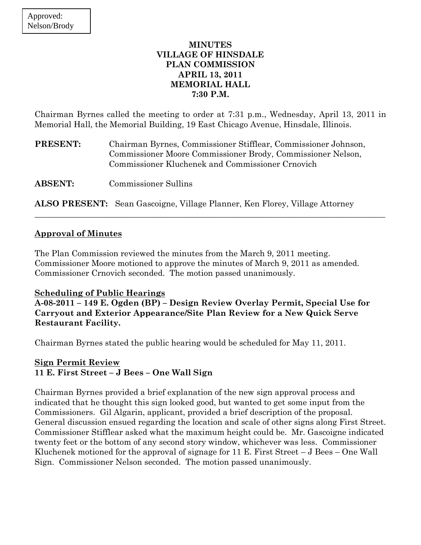## **MINUTES VILLAGE OF HINSDALE PLAN COMMISSION APRIL 13, 2011 MEMORIAL HALL 7:30 P.M.**

Chairman Byrnes called the meeting to order at 7:31 p.m., Wednesday, April 13, 2011 in Memorial Hall, the Memorial Building, 19 East Chicago Avenue, Hinsdale, Illinois.

| <b>PRESENT:</b> | Chairman Byrnes, Commissioner Stifflear, Commissioner Johnson,<br>Commissioner Moore Commissioner Brody, Commissioner Nelson,<br>Commissioner Kluchenek and Commissioner Crnovich |
|-----------------|-----------------------------------------------------------------------------------------------------------------------------------------------------------------------------------|
| <b>ABSENT:</b>  | <b>Commissioner Sullins</b>                                                                                                                                                       |

**ALSO PRESENT:** Sean Gascoigne, Village Planner, Ken Florey, Village Attorney

 $\_$  , and the set of the set of the set of the set of the set of the set of the set of the set of the set of the set of the set of the set of the set of the set of the set of the set of the set of the set of the set of th

### **Approval of Minutes**

The Plan Commission reviewed the minutes from the March 9, 2011 meeting. Commissioner Moore motioned to approve the minutes of March 9, 2011 as amended. Commissioner Crnovich seconded. The motion passed unanimously.

### **Scheduling of Public Hearings**

**A-08-2011 – 149 E. Ogden (BP) – Design Review Overlay Permit, Special Use for Carryout and Exterior Appearance/Site Plan Review for a New Quick Serve Restaurant Facility.**

Chairman Byrnes stated the public hearing would be scheduled for May 11, 2011.

# **Sign Permit Review 11 E. First Street – J Bees – One Wall Sign**

Chairman Byrnes provided a brief explanation of the new sign approval process and indicated that he thought this sign looked good, but wanted to get some input from the Commissioners. Gil Algarin, applicant, provided a brief description of the proposal. General discussion ensued regarding the location and scale of other signs along First Street. Commissioner Stifflear asked what the maximum height could be. Mr. Gascoigne indicated twenty feet or the bottom of any second story window, whichever was less. Commissioner Kluchenek motioned for the approval of signage for 11 E. First Street  $-J$  Bees  $-$  One Wall Sign. Commissioner Nelson seconded. The motion passed unanimously.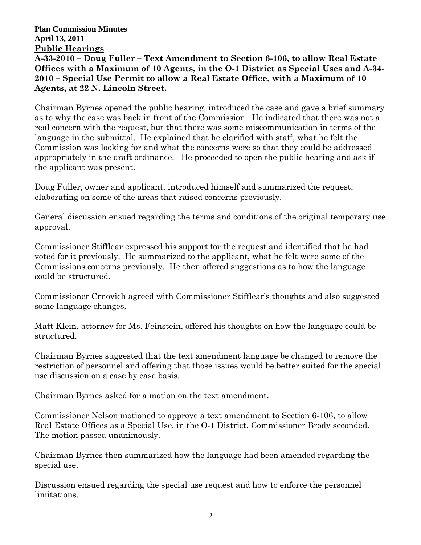### **Plan Commission Minutes April 13, 2011 Public Hearings A-33-2010 – Doug Fuller – Text Amendment to Section 6-106, to allow Real Estate Offices with a Maximum of 10 Agents, in the O-1 District as Special Uses and A-34- 2010 – Special Use Permit to allow a Real Estate Office, with a Maximum of 10 Agents, at 22 N. Lincoln Street.**

Chairman Byrnes opened the public hearing, introduced the case and gave a brief summary as to why the case was back in front of the Commission. He indicated that there was not a real concern with the request, but that there was some miscommunication in terms of the language in the submittal. He explained that he clarified with staff, what he felt the Commission was looking for and what the concerns were so that they could be addressed appropriately in the draft ordinance. He proceeded to open the public hearing and ask if the applicant was present.

Doug Fuller, owner and applicant, introduced himself and summarized the request, elaborating on some of the areas that raised concerns previously.

General discussion ensued regarding the terms and conditions of the original temporary use approval.

Commissioner Stifflear expressed his support for the request and identified that he had voted for it previously. He summarized to the applicant, what he felt were some of the Commissions concerns previously. He then offered suggestions as to how the language could be structured.

Commissioner Crnovich agreed with Commissioner Stifflear's thoughts and also suggested some language changes.

Matt Klein, attorney for Ms. Feinstein, offered his thoughts on how the language could be structured.

Chairman Byrnes suggested that the text amendment language be changed to remove the restriction of personnel and offering that those issues would be better suited for the special use discussion on a case by case basis.

Chairman Byrnes asked for a motion on the text amendment.

Commissioner Nelson motioned to approve a text amendment to Section 6-106, to allow Real Estate Offices as a Special Use, in the O-1 District. Commissioner Brody seconded. The motion passed unanimously.

Chairman Byrnes then summarized how the language had been amended regarding the special use.

Discussion ensued regarding the special use request and how to enforce the personnel limitations.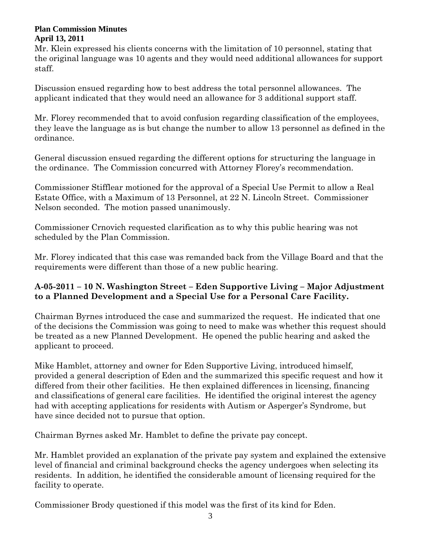Mr. Klein expressed his clients concerns with the limitation of 10 personnel, stating that the original language was 10 agents and they would need additional allowances for support staff.

Discussion ensued regarding how to best address the total personnel allowances. The applicant indicated that they would need an allowance for 3 additional support staff.

Mr. Florey recommended that to avoid confusion regarding classification of the employees, they leave the language as is but change the number to allow 13 personnel as defined in the ordinance.

General discussion ensued regarding the different options for structuring the language in the ordinance. The Commission concurred with Attorney Florey's recommendation.

Commissioner Stifflear motioned for the approval of a Special Use Permit to allow a Real Estate Office, with a Maximum of 13 Personnel, at 22 N. Lincoln Street. Commissioner Nelson seconded. The motion passed unanimously.

Commissioner Crnovich requested clarification as to why this public hearing was not scheduled by the Plan Commission.

Mr. Florey indicated that this case was remanded back from the Village Board and that the requirements were different than those of a new public hearing.

# **A-05-2011 – 10 N. Washington Street – Eden Supportive Living – Major Adjustment to a Planned Development and a Special Use for a Personal Care Facility.**

Chairman Byrnes introduced the case and summarized the request. He indicated that one of the decisions the Commission was going to need to make was whether this request should be treated as a new Planned Development. He opened the public hearing and asked the applicant to proceed.

Mike Hamblet, attorney and owner for Eden Supportive Living, introduced himself, provided a general description of Eden and the summarized this specific request and how it differed from their other facilities. He then explained differences in licensing, financing and classifications of general care facilities. He identified the original interest the agency had with accepting applications for residents with Autism or Asperger's Syndrome, but have since decided not to pursue that option.

Chairman Byrnes asked Mr. Hamblet to define the private pay concept.

Mr. Hamblet provided an explanation of the private pay system and explained the extensive level of financial and criminal background checks the agency undergoes when selecting its residents. In addition, he identified the considerable amount of licensing required for the facility to operate.

Commissioner Brody questioned if this model was the first of its kind for Eden.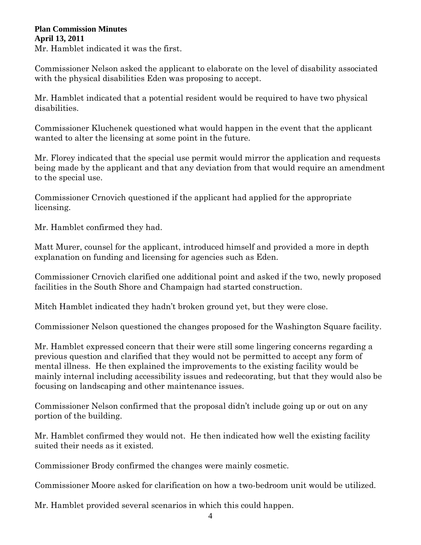Mr. Hamblet indicated it was the first.

Commissioner Nelson asked the applicant to elaborate on the level of disability associated with the physical disabilities Eden was proposing to accept.

Mr. Hamblet indicated that a potential resident would be required to have two physical disabilities.

Commissioner Kluchenek questioned what would happen in the event that the applicant wanted to alter the licensing at some point in the future.

Mr. Florey indicated that the special use permit would mirror the application and requests being made by the applicant and that any deviation from that would require an amendment to the special use.

Commissioner Crnovich questioned if the applicant had applied for the appropriate licensing.

Mr. Hamblet confirmed they had.

Matt Murer, counsel for the applicant, introduced himself and provided a more in depth explanation on funding and licensing for agencies such as Eden.

Commissioner Crnovich clarified one additional point and asked if the two, newly proposed facilities in the South Shore and Champaign had started construction.

Mitch Hamblet indicated they hadn't broken ground yet, but they were close.

Commissioner Nelson questioned the changes proposed for the Washington Square facility.

Mr. Hamblet expressed concern that their were still some lingering concerns regarding a previous question and clarified that they would not be permitted to accept any form of mental illness. He then explained the improvements to the existing facility would be mainly internal including accessibility issues and redecorating, but that they would also be focusing on landscaping and other maintenance issues.

Commissioner Nelson confirmed that the proposal didn't include going up or out on any portion of the building.

Mr. Hamblet confirmed they would not. He then indicated how well the existing facility suited their needs as it existed.

Commissioner Brody confirmed the changes were mainly cosmetic.

Commissioner Moore asked for clarification on how a two-bedroom unit would be utilized.

Mr. Hamblet provided several scenarios in which this could happen.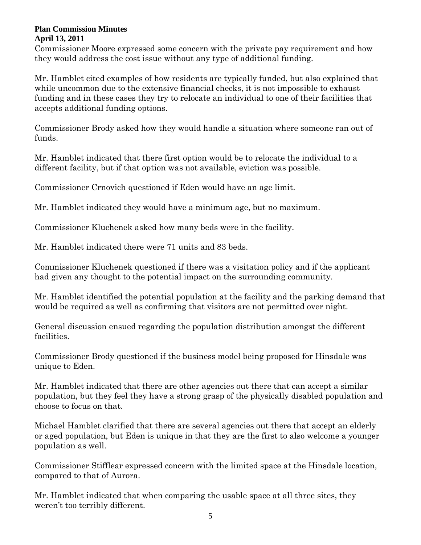Commissioner Moore expressed some concern with the private pay requirement and how they would address the cost issue without any type of additional funding.

Mr. Hamblet cited examples of how residents are typically funded, but also explained that while uncommon due to the extensive financial checks, it is not impossible to exhaust funding and in these cases they try to relocate an individual to one of their facilities that accepts additional funding options.

Commissioner Brody asked how they would handle a situation where someone ran out of funds.

Mr. Hamblet indicated that there first option would be to relocate the individual to a different facility, but if that option was not available, eviction was possible.

Commissioner Crnovich questioned if Eden would have an age limit.

Mr. Hamblet indicated they would have a minimum age, but no maximum.

Commissioner Kluchenek asked how many beds were in the facility.

Mr. Hamblet indicated there were 71 units and 83 beds.

Commissioner Kluchenek questioned if there was a visitation policy and if the applicant had given any thought to the potential impact on the surrounding community.

Mr. Hamblet identified the potential population at the facility and the parking demand that would be required as well as confirming that visitors are not permitted over night.

General discussion ensued regarding the population distribution amongst the different facilities.

Commissioner Brody questioned if the business model being proposed for Hinsdale was unique to Eden.

Mr. Hamblet indicated that there are other agencies out there that can accept a similar population, but they feel they have a strong grasp of the physically disabled population and choose to focus on that.

Michael Hamblet clarified that there are several agencies out there that accept an elderly or aged population, but Eden is unique in that they are the first to also welcome a younger population as well.

Commissioner Stifflear expressed concern with the limited space at the Hinsdale location, compared to that of Aurora.

Mr. Hamblet indicated that when comparing the usable space at all three sites, they weren't too terribly different.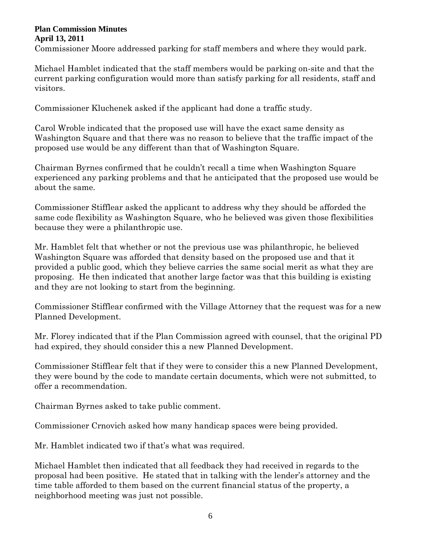Commissioner Moore addressed parking for staff members and where they would park.

Michael Hamblet indicated that the staff members would be parking on-site and that the current parking configuration would more than satisfy parking for all residents, staff and visitors.

Commissioner Kluchenek asked if the applicant had done a traffic study.

Carol Wroble indicated that the proposed use will have the exact same density as Washington Square and that there was no reason to believe that the traffic impact of the proposed use would be any different than that of Washington Square.

Chairman Byrnes confirmed that he couldn't recall a time when Washington Square experienced any parking problems and that he anticipated that the proposed use would be about the same.

Commissioner Stifflear asked the applicant to address why they should be afforded the same code flexibility as Washington Square, who he believed was given those flexibilities because they were a philanthropic use.

Mr. Hamblet felt that whether or not the previous use was philanthropic, he believed Washington Square was afforded that density based on the proposed use and that it provided a public good, which they believe carries the same social merit as what they are proposing. He then indicated that another large factor was that this building is existing and they are not looking to start from the beginning.

Commissioner Stifflear confirmed with the Village Attorney that the request was for a new Planned Development.

Mr. Florey indicated that if the Plan Commission agreed with counsel, that the original PD had expired, they should consider this a new Planned Development.

Commissioner Stifflear felt that if they were to consider this a new Planned Development, they were bound by the code to mandate certain documents, which were not submitted, to offer a recommendation.

Chairman Byrnes asked to take public comment.

Commissioner Crnovich asked how many handicap spaces were being provided.

Mr. Hamblet indicated two if that's what was required.

Michael Hamblet then indicated that all feedback they had received in regards to the proposal had been positive. He stated that in talking with the lender's attorney and the time table afforded to them based on the current financial status of the property, a neighborhood meeting was just not possible.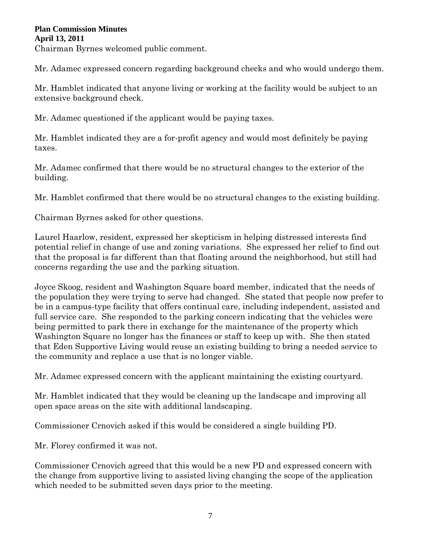Chairman Byrnes welcomed public comment.

Mr. Adamec expressed concern regarding background checks and who would undergo them.

Mr. Hamblet indicated that anyone living or working at the facility would be subject to an extensive background check.

Mr. Adamec questioned if the applicant would be paying taxes.

Mr. Hamblet indicated they are a for-profit agency and would most definitely be paying taxes.

Mr. Adamec confirmed that there would be no structural changes to the exterior of the building.

Mr. Hamblet confirmed that there would be no structural changes to the existing building.

Chairman Byrnes asked for other questions.

Laurel Haarlow, resident, expressed her skepticism in helping distressed interests find potential relief in change of use and zoning variations. She expressed her relief to find out that the proposal is far different than that floating around the neighborhood, but still had concerns regarding the use and the parking situation.

Joyce Skoog, resident and Washington Square board member, indicated that the needs of the population they were trying to serve had changed. She stated that people now prefer to be in a campus-type facility that offers continual care, including independent, assisted and full service care. She responded to the parking concern indicating that the vehicles were being permitted to park there in exchange for the maintenance of the property which Washington Square no longer has the finances or staff to keep up with. She then stated that Eden Supportive Living would reuse an existing building to bring a needed service to the community and replace a use that is no longer viable.

Mr. Adamec expressed concern with the applicant maintaining the existing courtyard.

Mr. Hamblet indicated that they would be cleaning up the landscape and improving all open space areas on the site with additional landscaping.

Commissioner Crnovich asked if this would be considered a single building PD.

Mr. Florey confirmed it was not.

Commissioner Crnovich agreed that this would be a new PD and expressed concern with the change from supportive living to assisted living changing the scope of the application which needed to be submitted seven days prior to the meeting.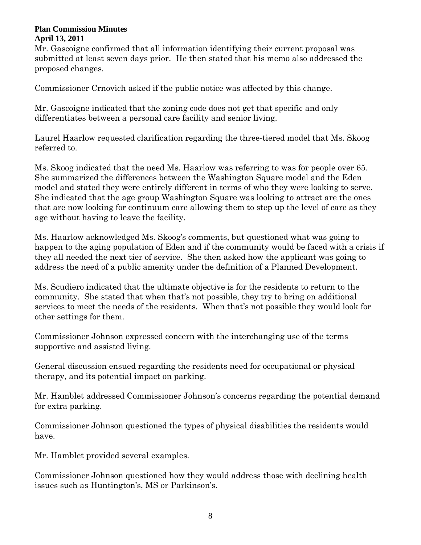Mr. Gascoigne confirmed that all information identifying their current proposal was submitted at least seven days prior. He then stated that his memo also addressed the proposed changes.

Commissioner Crnovich asked if the public notice was affected by this change.

Mr. Gascoigne indicated that the zoning code does not get that specific and only differentiates between a personal care facility and senior living.

Laurel Haarlow requested clarification regarding the three-tiered model that Ms. Skoog referred to.

Ms. Skoog indicated that the need Ms. Haarlow was referring to was for people over 65. She summarized the differences between the Washington Square model and the Eden model and stated they were entirely different in terms of who they were looking to serve. She indicated that the age group Washington Square was looking to attract are the ones that are now looking for continuum care allowing them to step up the level of care as they age without having to leave the facility.

Ms. Haarlow acknowledged Ms. Skoog's comments, but questioned what was going to happen to the aging population of Eden and if the community would be faced with a crisis if they all needed the next tier of service. She then asked how the applicant was going to address the need of a public amenity under the definition of a Planned Development.

Ms. Scudiero indicated that the ultimate objective is for the residents to return to the community. She stated that when that's not possible, they try to bring on additional services to meet the needs of the residents. When that's not possible they would look for other settings for them.

Commissioner Johnson expressed concern with the interchanging use of the terms supportive and assisted living.

General discussion ensued regarding the residents need for occupational or physical therapy, and its potential impact on parking.

Mr. Hamblet addressed Commissioner Johnson's concerns regarding the potential demand for extra parking.

Commissioner Johnson questioned the types of physical disabilities the residents would have.

Mr. Hamblet provided several examples.

Commissioner Johnson questioned how they would address those with declining health issues such as Huntington's, MS or Parkinson's.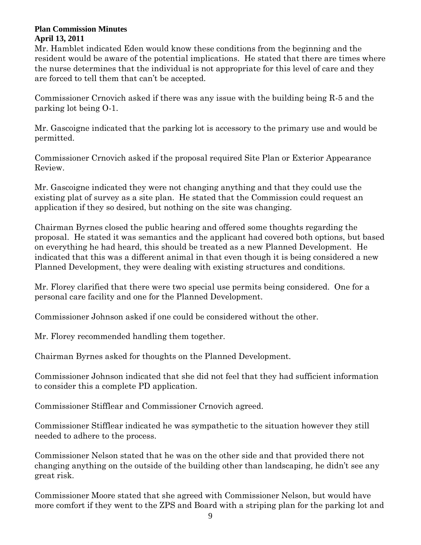Mr. Hamblet indicated Eden would know these conditions from the beginning and the resident would be aware of the potential implications. He stated that there are times where the nurse determines that the individual is not appropriate for this level of care and they are forced to tell them that can't be accepted.

Commissioner Crnovich asked if there was any issue with the building being R-5 and the parking lot being O-1.

Mr. Gascoigne indicated that the parking lot is accessory to the primary use and would be permitted.

Commissioner Crnovich asked if the proposal required Site Plan or Exterior Appearance Review.

Mr. Gascoigne indicated they were not changing anything and that they could use the existing plat of survey as a site plan. He stated that the Commission could request an application if they so desired, but nothing on the site was changing.

Chairman Byrnes closed the public hearing and offered some thoughts regarding the proposal. He stated it was semantics and the applicant had covered both options, but based on everything he had heard, this should be treated as a new Planned Development. He indicated that this was a different animal in that even though it is being considered a new Planned Development, they were dealing with existing structures and conditions.

Mr. Florey clarified that there were two special use permits being considered. One for a personal care facility and one for the Planned Development.

Commissioner Johnson asked if one could be considered without the other.

Mr. Florey recommended handling them together.

Chairman Byrnes asked for thoughts on the Planned Development.

Commissioner Johnson indicated that she did not feel that they had sufficient information to consider this a complete PD application.

Commissioner Stifflear and Commissioner Crnovich agreed.

Commissioner Stifflear indicated he was sympathetic to the situation however they still needed to adhere to the process.

Commissioner Nelson stated that he was on the other side and that provided there not changing anything on the outside of the building other than landscaping, he didn't see any great risk.

Commissioner Moore stated that she agreed with Commissioner Nelson, but would have more comfort if they went to the ZPS and Board with a striping plan for the parking lot and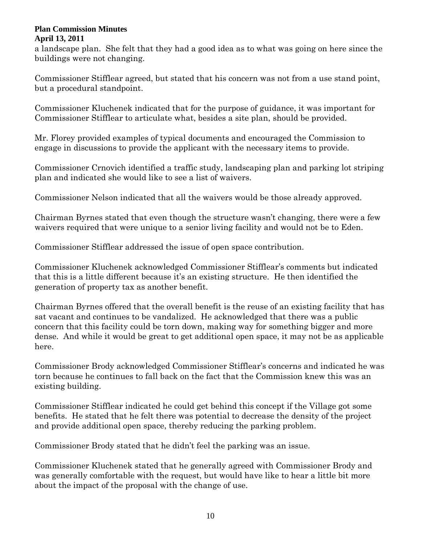a landscape plan. She felt that they had a good idea as to what was going on here since the buildings were not changing.

Commissioner Stifflear agreed, but stated that his concern was not from a use stand point, but a procedural standpoint.

Commissioner Kluchenek indicated that for the purpose of guidance, it was important for Commissioner Stifflear to articulate what, besides a site plan, should be provided.

Mr. Florey provided examples of typical documents and encouraged the Commission to engage in discussions to provide the applicant with the necessary items to provide.

Commissioner Crnovich identified a traffic study, landscaping plan and parking lot striping plan and indicated she would like to see a list of waivers.

Commissioner Nelson indicated that all the waivers would be those already approved.

Chairman Byrnes stated that even though the structure wasn't changing, there were a few waivers required that were unique to a senior living facility and would not be to Eden.

Commissioner Stifflear addressed the issue of open space contribution.

Commissioner Kluchenek acknowledged Commissioner Stifflear's comments but indicated that this is a little different because it's an existing structure. He then identified the generation of property tax as another benefit.

Chairman Byrnes offered that the overall benefit is the reuse of an existing facility that has sat vacant and continues to be vandalized. He acknowledged that there was a public concern that this facility could be torn down, making way for something bigger and more dense. And while it would be great to get additional open space, it may not be as applicable here.

Commissioner Brody acknowledged Commissioner Stifflear's concerns and indicated he was torn because he continues to fall back on the fact that the Commission knew this was an existing building.

Commissioner Stifflear indicated he could get behind this concept if the Village got some benefits. He stated that he felt there was potential to decrease the density of the project and provide additional open space, thereby reducing the parking problem.

Commissioner Brody stated that he didn't feel the parking was an issue.

Commissioner Kluchenek stated that he generally agreed with Commissioner Brody and was generally comfortable with the request, but would have like to hear a little bit more about the impact of the proposal with the change of use.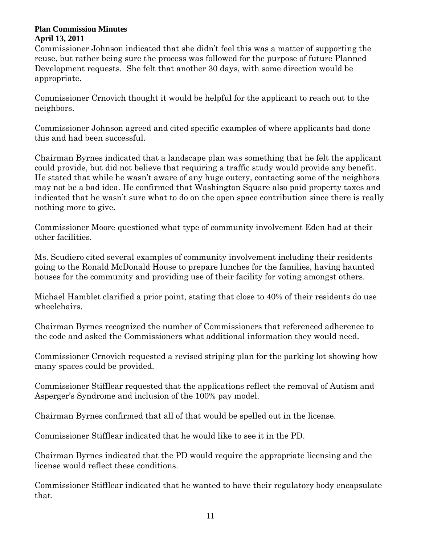Commissioner Johnson indicated that she didn't feel this was a matter of supporting the reuse, but rather being sure the process was followed for the purpose of future Planned Development requests. She felt that another 30 days, with some direction would be appropriate.

Commissioner Crnovich thought it would be helpful for the applicant to reach out to the neighbors.

Commissioner Johnson agreed and cited specific examples of where applicants had done this and had been successful.

Chairman Byrnes indicated that a landscape plan was something that he felt the applicant could provide, but did not believe that requiring a traffic study would provide any benefit. He stated that while he wasn't aware of any huge outcry, contacting some of the neighbors may not be a bad idea. He confirmed that Washington Square also paid property taxes and indicated that he wasn't sure what to do on the open space contribution since there is really nothing more to give.

Commissioner Moore questioned what type of community involvement Eden had at their other facilities.

Ms. Scudiero cited several examples of community involvement including their residents going to the Ronald McDonald House to prepare lunches for the families, having haunted houses for the community and providing use of their facility for voting amongst others.

Michael Hamblet clarified a prior point, stating that close to 40% of their residents do use wheelchairs.

Chairman Byrnes recognized the number of Commissioners that referenced adherence to the code and asked the Commissioners what additional information they would need.

Commissioner Crnovich requested a revised striping plan for the parking lot showing how many spaces could be provided.

Commissioner Stifflear requested that the applications reflect the removal of Autism and Asperger's Syndrome and inclusion of the 100% pay model.

Chairman Byrnes confirmed that all of that would be spelled out in the license.

Commissioner Stifflear indicated that he would like to see it in the PD.

Chairman Byrnes indicated that the PD would require the appropriate licensing and the license would reflect these conditions.

Commissioner Stifflear indicated that he wanted to have their regulatory body encapsulate that.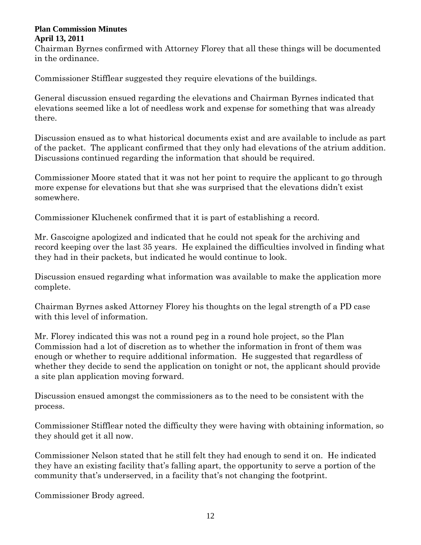Chairman Byrnes confirmed with Attorney Florey that all these things will be documented in the ordinance.

Commissioner Stifflear suggested they require elevations of the buildings.

General discussion ensued regarding the elevations and Chairman Byrnes indicated that elevations seemed like a lot of needless work and expense for something that was already there.

Discussion ensued as to what historical documents exist and are available to include as part of the packet. The applicant confirmed that they only had elevations of the atrium addition. Discussions continued regarding the information that should be required.

Commissioner Moore stated that it was not her point to require the applicant to go through more expense for elevations but that she was surprised that the elevations didn't exist somewhere.

Commissioner Kluchenek confirmed that it is part of establishing a record.

Mr. Gascoigne apologized and indicated that he could not speak for the archiving and record keeping over the last 35 years. He explained the difficulties involved in finding what they had in their packets, but indicated he would continue to look.

Discussion ensued regarding what information was available to make the application more complete.

Chairman Byrnes asked Attorney Florey his thoughts on the legal strength of a PD case with this level of information.

Mr. Florey indicated this was not a round peg in a round hole project, so the Plan Commission had a lot of discretion as to whether the information in front of them was enough or whether to require additional information. He suggested that regardless of whether they decide to send the application on tonight or not, the applicant should provide a site plan application moving forward.

Discussion ensued amongst the commissioners as to the need to be consistent with the process.

Commissioner Stifflear noted the difficulty they were having with obtaining information, so they should get it all now.

Commissioner Nelson stated that he still felt they had enough to send it on. He indicated they have an existing facility that's falling apart, the opportunity to serve a portion of the community that's underserved, in a facility that's not changing the footprint.

Commissioner Brody agreed.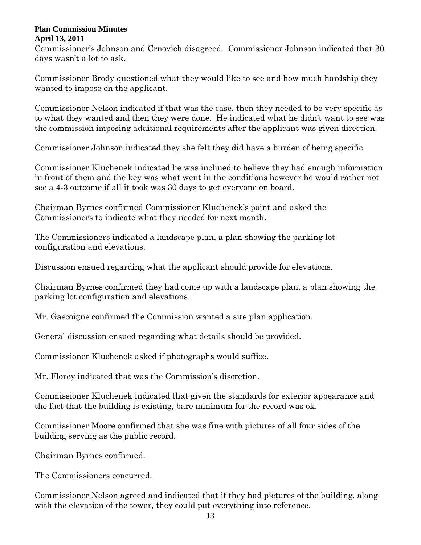Commissioner's Johnson and Crnovich disagreed. Commissioner Johnson indicated that 30 days wasn't a lot to ask.

Commissioner Brody questioned what they would like to see and how much hardship they wanted to impose on the applicant.

Commissioner Nelson indicated if that was the case, then they needed to be very specific as to what they wanted and then they were done. He indicated what he didn't want to see was the commission imposing additional requirements after the applicant was given direction.

Commissioner Johnson indicated they she felt they did have a burden of being specific.

Commissioner Kluchenek indicated he was inclined to believe they had enough information in front of them and the key was what went in the conditions however he would rather not see a 4-3 outcome if all it took was 30 days to get everyone on board.

Chairman Byrnes confirmed Commissioner Kluchenek's point and asked the Commissioners to indicate what they needed for next month.

The Commissioners indicated a landscape plan, a plan showing the parking lot configuration and elevations.

Discussion ensued regarding what the applicant should provide for elevations.

Chairman Byrnes confirmed they had come up with a landscape plan, a plan showing the parking lot configuration and elevations.

Mr. Gascoigne confirmed the Commission wanted a site plan application.

General discussion ensued regarding what details should be provided.

Commissioner Kluchenek asked if photographs would suffice.

Mr. Florey indicated that was the Commission's discretion.

Commissioner Kluchenek indicated that given the standards for exterior appearance and the fact that the building is existing, bare minimum for the record was ok.

Commissioner Moore confirmed that she was fine with pictures of all four sides of the building serving as the public record.

Chairman Byrnes confirmed.

The Commissioners concurred.

Commissioner Nelson agreed and indicated that if they had pictures of the building, along with the elevation of the tower, they could put everything into reference.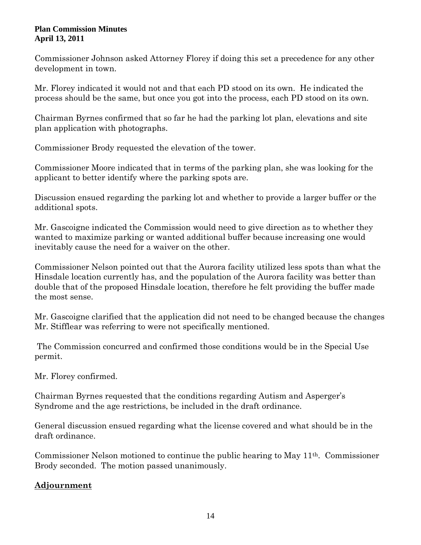Commissioner Johnson asked Attorney Florey if doing this set a precedence for any other development in town.

Mr. Florey indicated it would not and that each PD stood on its own. He indicated the process should be the same, but once you got into the process, each PD stood on its own.

Chairman Byrnes confirmed that so far he had the parking lot plan, elevations and site plan application with photographs.

Commissioner Brody requested the elevation of the tower.

Commissioner Moore indicated that in terms of the parking plan, she was looking for the applicant to better identify where the parking spots are.

Discussion ensued regarding the parking lot and whether to provide a larger buffer or the additional spots.

Mr. Gascoigne indicated the Commission would need to give direction as to whether they wanted to maximize parking or wanted additional buffer because increasing one would inevitably cause the need for a waiver on the other.

Commissioner Nelson pointed out that the Aurora facility utilized less spots than what the Hinsdale location currently has, and the population of the Aurora facility was better than double that of the proposed Hinsdale location, therefore he felt providing the buffer made the most sense.

Mr. Gascoigne clarified that the application did not need to be changed because the changes Mr. Stifflear was referring to were not specifically mentioned.

The Commission concurred and confirmed those conditions would be in the Special Use permit.

Mr. Florey confirmed.

Chairman Byrnes requested that the conditions regarding Autism and Asperger's Syndrome and the age restrictions, be included in the draft ordinance.

General discussion ensued regarding what the license covered and what should be in the draft ordinance.

Commissioner Nelson motioned to continue the public hearing to May 11th. Commissioner Brody seconded. The motion passed unanimously.

# **Adjournment**